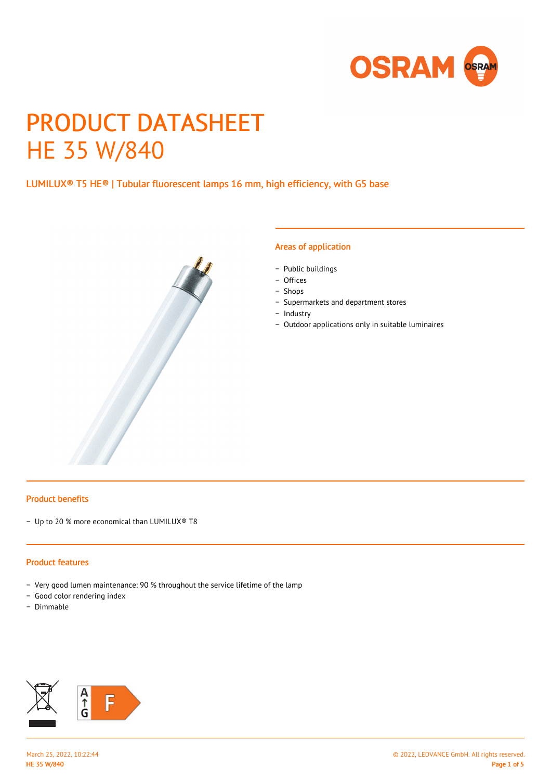

# PRODUCT DATASHEET HE 35 W/840

# LUMILUX® T5 HE® | Tubular fluorescent lamps 16 mm, high efficiency, with G5 base



#### Areas of application

- − Public buildings
- − Offices
- − Shops
- − Supermarkets and department stores
- − Industry
- − Outdoor applications only in suitable luminaires

#### Product benefits

− Up to 20 % more economical than LUMILUX® T8

#### Product features

- − Very good lumen maintenance: 90 % throughout the service lifetime of the lamp
- − Good color rendering index
- − Dimmable

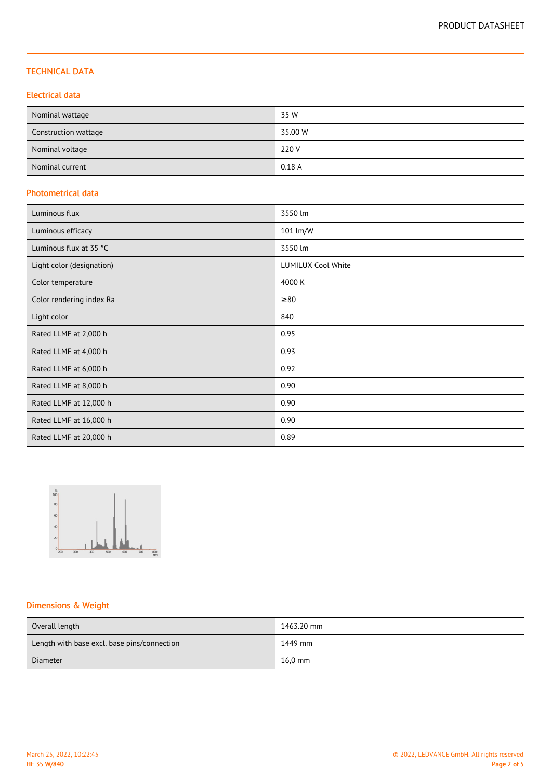## TECHNICAL DATA

## Electrical data

| Nominal wattage      | 35 W    |
|----------------------|---------|
| Construction wattage | 35.00 W |
| Nominal voltage      | 220 V   |
| Nominal current      | 0.18A   |

## Photometrical data

| Luminous flux             | 3550 lm                   |
|---------------------------|---------------------------|
| Luminous efficacy         | 101 lm/W                  |
| Luminous flux at 35 °C    | 3550 lm                   |
| Light color (designation) | <b>LUMILUX Cool White</b> |
| Color temperature         | 4000 K                    |
| Color rendering index Ra  | $\geq 80$                 |
| Light color               | 840                       |
| Rated LLMF at 2,000 h     | 0.95                      |
| Rated LLMF at 4,000 h     | 0.93                      |
| Rated LLMF at 6,000 h     | 0.92                      |
| Rated LLMF at 8,000 h     | 0.90                      |
| Rated LLMF at 12,000 h    | 0.90                      |
| Rated LLMF at 16,000 h    | 0.90                      |
| Rated LLMF at 20,000 h    | 0.89                      |



# Dimensions & Weight

| Overall length                              | 1463.20 mm |
|---------------------------------------------|------------|
| Length with base excl. base pins/connection | 1449 mm    |
| Diameter                                    | $16.0$ mm  |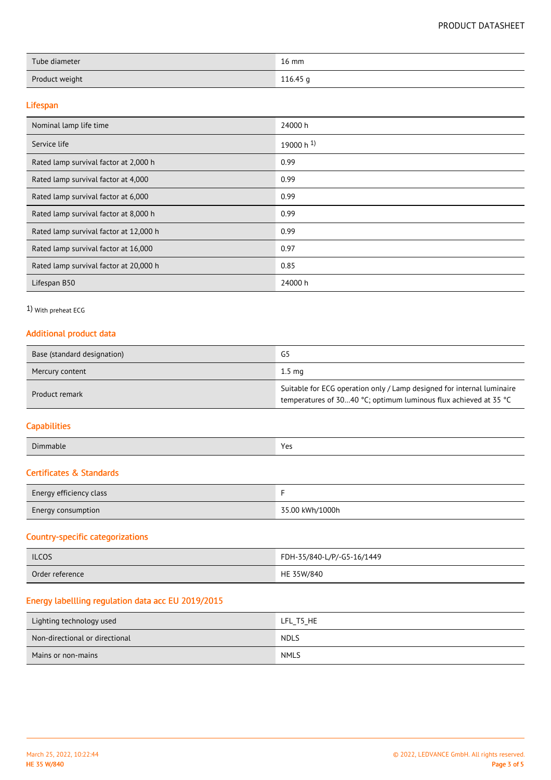| Tube diameter  | $16 \text{ mm}$ |
|----------------|-----------------|
| Product weight | 116.45 g        |

#### Lifespan

| Nominal lamp life time                 | 24000 h          |
|----------------------------------------|------------------|
| Service life                           | 19000 h $^{1}$ ) |
| Rated lamp survival factor at 2,000 h  | 0.99             |
| Rated lamp survival factor at 4,000    | 0.99             |
| Rated lamp survival factor at 6,000    | 0.99             |
| Rated lamp survival factor at 8,000 h  | 0.99             |
| Rated lamp survival factor at 12,000 h | 0.99             |
| Rated lamp survival factor at 16,000   | 0.97             |
| Rated lamp survival factor at 20,000 h | 0.85             |
| Lifespan B50                           | 24000 h          |

## 1) With preheat ECG

## Additional product data

| Base (standard designation) | G5                                                                                                                                         |
|-----------------------------|--------------------------------------------------------------------------------------------------------------------------------------------|
| Mercury content             | $1.5 \text{ ma}$                                                                                                                           |
| Product remark              | Suitable for ECG operation only / Lamp designed for internal luminaire<br>temperatures of 3040 °C; optimum luminous flux achieved at 35 °C |

## **Capabilities**

| Din<br>nmable | $V_{\Omega}$<br>د با<br>$ -$ |
|---------------|------------------------------|
|               |                              |

# Certificates & Standards

| Energy efficiency class   |                 |
|---------------------------|-----------------|
| <b>Energy consumption</b> | 35.00 kWh/1000h |

## Country-specific categorizations

| <b>ILCOS</b>    | FDH-35/840-L/P/-G5-16/1449 |
|-----------------|----------------------------|
| Order reference | HE 35W/840                 |

## Energy labellling regulation data acc EU 2019/2015

| Lighting technology used       | LFL T5 HE   |
|--------------------------------|-------------|
| Non-directional or directional | <b>NDLS</b> |
| Mains or non-mains             | <b>NMLS</b> |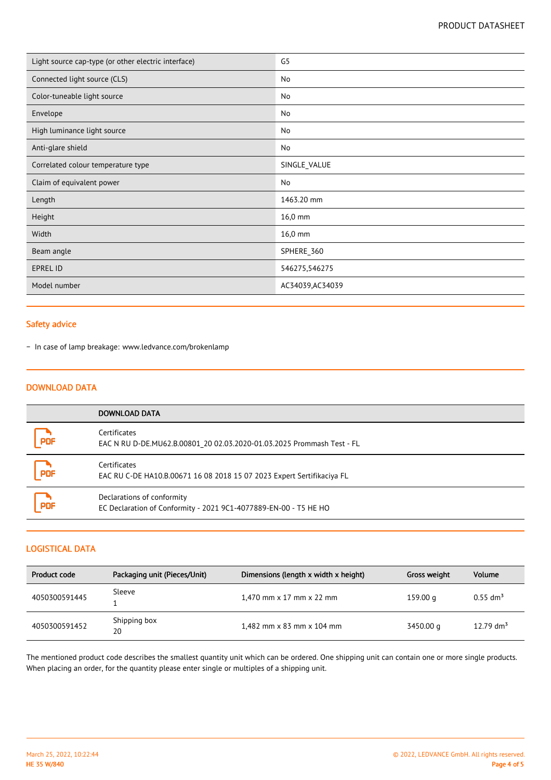| Light source cap-type (or other electric interface) | G <sub>5</sub>   |
|-----------------------------------------------------|------------------|
| Connected light source (CLS)                        | No               |
| Color-tuneable light source                         | No               |
| Envelope                                            | No               |
| High luminance light source                         | No               |
| Anti-glare shield                                   | No               |
| Correlated colour temperature type                  | SINGLE_VALUE     |
| Claim of equivalent power                           | No               |
| Length                                              | 1463.20 mm       |
| Height                                              | 16,0 mm          |
| Width                                               | 16,0 mm          |
| Beam angle                                          | SPHERE_360       |
| EPREL ID                                            | 546275,546275    |
| Model number                                        | AC34039, AC34039 |

## Safety advice

− In case of lamp breakage: www.ledvance.com/brokenlamp

#### DOWNLOAD DATA

|     | DOWNLOAD DATA                                                                                  |
|-----|------------------------------------------------------------------------------------------------|
| PDF | Certificates<br>EAC N RU D-DE.MU62.B.00801 20 02.03.2020-01.03.2025 Prommash Test - FL         |
| PDF | Certificates<br>EAC RU C-DE HA10.B.00671 16 08 2018 15 07 2023 Expert Sertifikaciya FL         |
| PDF | Declarations of conformity<br>EC Declaration of Conformity - 2021 9C1-4077889-EN-00 - T5 HE HO |

#### LOGISTICAL DATA

| Product code  | Packaging unit (Pieces/Unit) | Dimensions (length x width x height)   | Gross weight | <b>Volume</b>          |
|---------------|------------------------------|----------------------------------------|--------------|------------------------|
| 4050300591445 | Sleeve                       | 1,470 mm $\times$ 17 mm $\times$ 22 mm | 159.00 g     | $0.55$ dm <sup>3</sup> |
| 4050300591452 | Shipping box<br>20           | 1,482 mm x 83 mm x 104 mm              | 3450.00 g    | 12.79 $\rm{dm}^3$      |

The mentioned product code describes the smallest quantity unit which can be ordered. One shipping unit can contain one or more single products. When placing an order, for the quantity please enter single or multiples of a shipping unit.